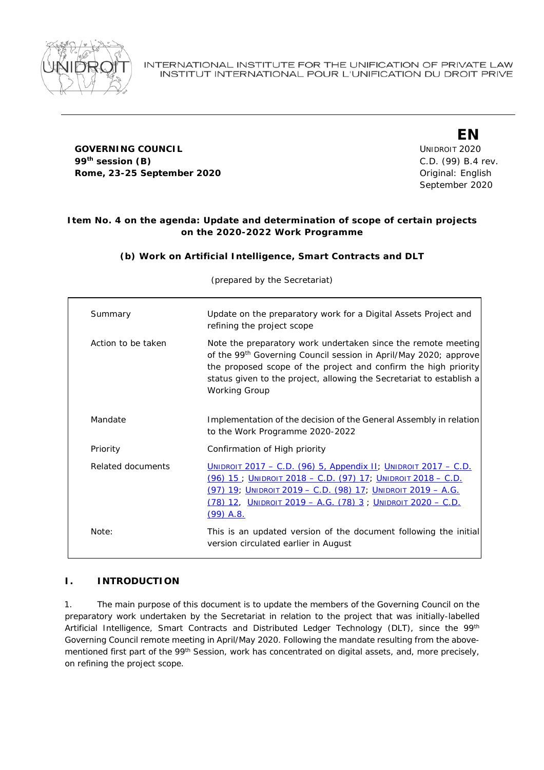

#### **GOVERNING COUNCIL COUNCIL COUNCIL COUNCIL COUNCIL COUNCIL COUNCIL COUNCIL 99th session (B)** C.D. (99) B.4 rev. **Rome, 23-25 September 2020 Constanting Constanting Constanting Constanting Constanting Constanting Constanting Constanting Constanting Constanting Constanting Constanting Constanting Constanting Constanting Constanting**

**EN** September 2020

## **Item No. 4 on the agenda: Update and determination of scope of certain projects on the 2020-2022 Work Programme**

## **(b) Work on Artificial Intelligence, Smart Contracts and DLT**

(prepared by the Secretariat)

| Summary                  | Update on the preparatory work for a Digital Assets Project and<br>refining the project scope                                                                                                                                                                                                                    |
|--------------------------|------------------------------------------------------------------------------------------------------------------------------------------------------------------------------------------------------------------------------------------------------------------------------------------------------------------|
| Action to be taken       | Note the preparatory work undertaken since the remote meeting<br>of the 99 <sup>th</sup> Governing Council session in April/May 2020; approve<br>the proposed scope of the project and confirm the high priority<br>status given to the project, allowing the Secretariat to establish a<br><b>Working Group</b> |
| Mandate                  | Implementation of the decision of the General Assembly in relation<br>to the Work Programme 2020-2022                                                                                                                                                                                                            |
| Priority                 | Confirmation of High priority                                                                                                                                                                                                                                                                                    |
| <b>Related documents</b> | <b>UNIDROIT 2017 – C.D. (96) 5, Appendix II, UNIDROIT 2017 – C.D.</b><br><u> (96) 15 ; Unidroit 2018 – C.D. (97) 17; Unidroit 2018 – C.D.</u><br><u>(97) 19; Unidroit 2019 – C.D. (98) 17; Unidroit 2019 – A.G.</u><br><u> (78) 12,  Unidroit 2019 – A.G. (78) 3 ; Unidroit 2020 – C.D.</u><br>$(99)$ A.S.       |
| <i>Note:</i>             | This is an updated version of the document following the initial<br>version circulated earlier in August                                                                                                                                                                                                         |

## **I. INTRODUCTION**

1. The main purpose of this document is to update the members of the Governing Council on the preparatory work undertaken by the Secretariat in relation to the project that was initially-labelled Artificial Intelligence, Smart Contracts and Distributed Ledger Technology (DLT), since the 99<sup>th</sup> Governing Council remote meeting in April/May 2020. Following the mandate resulting from the abovementioned first part of the 99<sup>th</sup> Session, work has concentrated on digital assets, and, more precisely, on refining the project scope.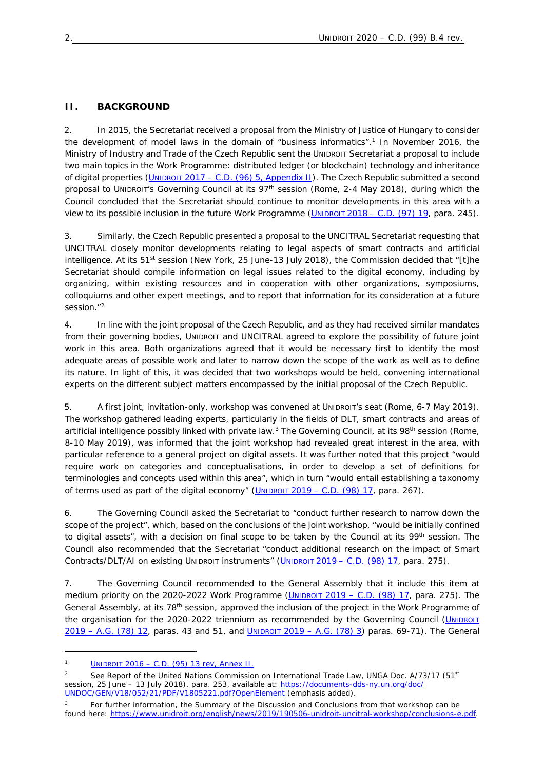# **II. BACKGROUND**

2. In 2015, the Secretariat received a proposal from the Ministry of Justice of Hungary to consider the development of model laws in the domain of "business informatics".<sup>1</sup> In November 2016, the Ministry of Industry and Trade of the Czech Republic sent the UNIDROIT Secretariat a proposal to include two main topics in the Work Programme: distributed ledger (or blockchain) technology and inheritance of digital properties (UNIDROIT 2017 – C.D. (96) 5, Appendix II). The Czech Republic submitted a second proposal to UNIDROIT'S Governing Council at its 97th session (Rome, 2-4 May 2018), during which the Council concluded that the Secretariat should continue to monitor developments in this area with a view to its possible inclusion in the future Work Programme (UNIDROIT 2018 – C.D. (97) 19, para. 245).

3. Similarly, the Czech Republic presented a proposal to the UNCITRAL Secretariat requesting that UNCITRAL closely monitor developments relating to legal aspects of smart contracts and artificial intelligence. At its 51<sup>st</sup> session (New York, 25 June-13 July 2018), the Commission decided that "[t]he Secretariat should compile information on legal issues related to the digital economy, including by organizing, within existing resources and *in cooperation with other organizations*, symposiums, colloquiums and other expert meetings, and to report that information for its consideration at a future session."<sup>2</sup>

4. In line with the joint proposal of the Czech Republic, and as they had received similar mandates from their governing bodies, UNIDROIT and UNCITRAL agreed to explore the possibility of future joint work in this area. Both organizations agreed that it would be necessary first to identify the most adequate areas of possible work and later to narrow down the scope of the work as well as to define its nature. In light of this, it was decided that two workshops would be held, convening international experts on the different subject matters encompassed by the initial proposal of the Czech Republic.

5. A first joint, invitation-only, workshop was convened at UNIDROIT's seat (Rome, 6-7 May 2019). The workshop gathered leading experts, particularly in the fields of DLT, smart contracts and areas of artificial intelligence possibly linked with private law.<sup>3</sup> The Governing Council, at its 98<sup>th</sup> session (Rome, 8-10 May 2019), was informed that the joint workshop had revealed great interest in the area, with particular reference to a general project on digital assets. It was further noted that this project "would require work on categories and conceptualisations, in order to develop a set of definitions for terminologies and concepts used within this area", which in turn "would entail establishing a taxonomy of terms used as part of the digital economy"  $(U_{NIDROIT} 2019 - C.D. (98) 17$ , para. 267).

6. The Governing Council asked the Secretariat to "conduct further research to narrow down the scope of the project", which, based on the conclusions of the joint workshop, "would be initially confined to digital assets", with a decision on final scope to be taken by the Council at its 99<sup>th</sup> session. The Council also recommended that the Secretariat "conduct additional research on the impact of Smart Contracts/DLT/AI on existing UNIDROIT instruments" (UNIDROIT 2019 – C.D. (98) 17, para. 275).

7. The Governing Council recommended to the General Assembly that it include this item at medium priority on the 2020-2022 Work Programme (UNIDROIT 2019 – C.D. (98) 17, para. 275). The General Assembly, at its 78<sup>th</sup> session, approved the inclusion of the project in the Work Programme of the organisation for the 2020-2022 triennium as recommended by the Governing Council (UNIDROIT 2019 – A.G. (78) 12, paras. 43 and 51, and UNIDROIT 2019 – A.G. (78) 3) paras. 69-71). The General

UNIDROIT 2016 – C.D. (95) 13 rev, Annex II.

See Report of the United Nations Commission on International Trade Law, UNGA Doc. A/73/17 (51<sup>st</sup> session, 25 June - 13 July 2018), para. 253, available at: https://documents-dds-ny.un.org/doc/ UNDOC/GEN/V18/052/21/PDF/V1805221.pdf?OpenElement (emphasis added).

For further information, the Summary of the Discussion and Conclusions from that workshop can be found here: https://www.unidroit.org/english/news/2019/190506-unidroit-uncitral-workshop/conclusions-e.pdf.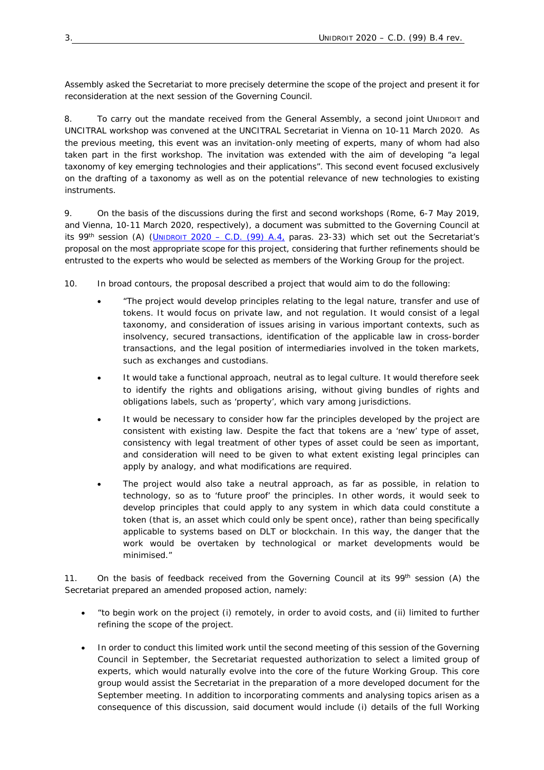Assembly asked the Secretariat to more precisely determine the scope of the project and present it for reconsideration at the next session of the Governing Council.

8. To carry out the mandate received from the General Assembly, a second joint UNIDROIT and UNCITRAL workshop was convened at the UNCITRAL Secretariat in Vienna on 10-11 March 2020. As the previous meeting, this event was an invitation-only meeting of experts, many of whom had also taken part in the first workshop. The invitation was extended with the aim of developing "a legal taxonomy of key emerging technologies and their applications". This second event focused exclusively on the drafting of a taxonomy as well as on the potential relevance of new technologies to existing instruments.

9. On the basis of the discussions during the first and second workshops (Rome, 6-7 May 2019, and Vienna, 10-11 March 2020, respectively), a document was submitted to the Governing Council at its 99<sup>th</sup> session (A) (UNIDROIT 2020 – C.D. (99) A.4, paras. 23-33) which set out the Secretariat's proposal on the most appropriate scope for this project, considering that further refinements should be entrusted to the experts who would be selected as members of the Working Group for the project.

10. In broad contours, the proposal described a project that would aim to do the following:

- "The project would develop principles relating to the legal nature, transfer and use of tokens. It would focus on private law, and not regulation. It would consist of a legal taxonomy, and consideration of issues arising in various important contexts, such as insolvency, secured transactions, identification of the applicable law in cross-border transactions, and the legal position of intermediaries involved in the token markets, such as exchanges and custodians.
- It would take a functional approach, neutral as to legal culture. It would therefore seek to identify the rights and obligations arising, without giving bundles of rights and obligations labels, such as 'property', which vary among jurisdictions.
- It would be necessary to consider how far the principles developed by the project are consistent with existing law. Despite the fact that tokens are a 'new' type of asset, consistency with legal treatment of other types of asset could be seen as important, and consideration will need to be given to what extent existing legal principles can apply by analogy, and what modifications are required.
- The project would also take a neutral approach, as far as possible, in relation to technology, so as to 'future proof' the principles. In other words, it would seek to develop principles that could apply to any system in which data could constitute a token (that is, an asset which could only be spent once), rather than being specifically applicable to systems based on DLT or blockchain. In this way, the danger that the work would be overtaken by technological or market developments would be minimised."

11. On the basis of feedback received from the Governing Council at its 99<sup>th</sup> session (A) the Secretariat prepared an amended proposed action, namely:

- "to begin work on the project (i) remotely, in order to avoid costs, and (ii) limited to further refining the scope of the project.
- In order to conduct this limited work until the second meeting of this session of the Governing Council in September, the Secretariat requested authorization to select a limited group of experts, which would naturally evolve into the core of the future Working Group. This core group would assist the Secretariat in the preparation of a more developed document for the September meeting. In addition to incorporating comments and analysing topics arisen as a consequence of this discussion, said document would include (i) details of the full Working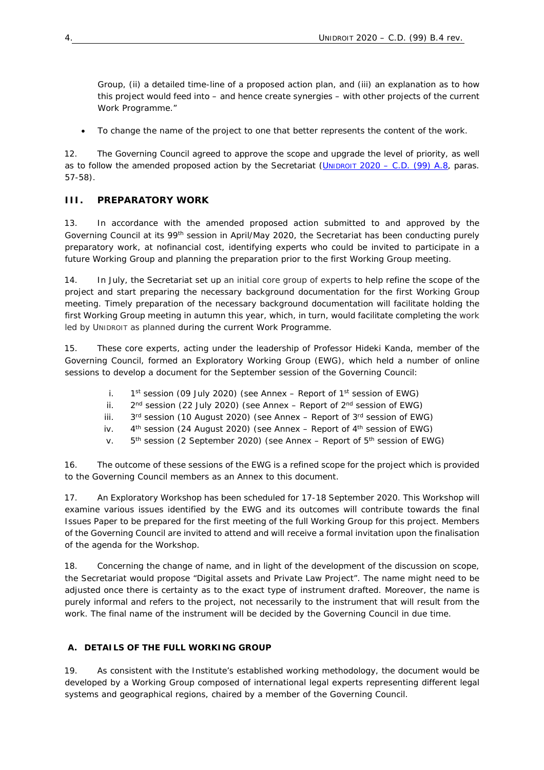Group, (ii) a detailed time-line of a proposed action plan, and (iii) an explanation as to how this project would feed into – and hence create synergies – with other projects of the current Work Programme."

To change the name of the project to one that better represents the content of the work.

12. The Governing Council agreed to approve the scope and upgrade the level of priority, as well as to follow the amended proposed action by the Secretariat (UNIDROIT 2020 – C.D. (99) A.8, paras. 57-58).

## **III. PREPARATORY WORK**

13. In accordance with the amended proposed action submitted to and approved by the Governing Council at its 99<sup>th</sup> session in April/May 2020, the Secretariat has been conducting purely preparatory work, at nofinancial cost, identifying experts who could be invited to participate in a future Working Group and planning the preparation prior to the first Working Group meeting.

14. In July, the Secretariat set up an initial core group of experts to help refine the scope of the project and start preparing the necessary background documentation for the first Working Group meeting. Timely preparation of the necessary background documentation will facilitate holding the first Working Group meeting in autumn this year, which, in turn, would facilitate completing the work led by UNIDROIT as planned during the current Work Programme.

15. These core experts, acting under the leadership of Professor Hideki Kanda, member of the Governing Council, formed an Exploratory Working Group (EWG), which held a number of online sessions to develop a document for the September session of the Governing Council:

- i.  $1<sup>st</sup>$  session (09 July 2020) (see Annex Report of 1<sup>st</sup> session of EWG)
- ii.  $2<sup>nd</sup>$  session (22 July 2020) (see Annex Report of  $2<sup>nd</sup>$  session of EWG)
- iii.  $3<sup>rd</sup>$  session (10 August 2020) (see Annex Report of  $3<sup>rd</sup>$  session of EWG)
- iv.  $4<sup>th</sup>$  session (24 August 2020) (see Annex Report of  $4<sup>th</sup>$  session of EWG)
- v.  $5<sup>th</sup>$  session (2 September 2020) (see Annex Report of  $5<sup>th</sup>$  session of EWG)

16. The outcome of these sessions of the EWG is a refined scope for the project which is provided to the Governing Council members as an Annex to this document.

17. An Exploratory Workshop has been scheduled for 17-18 September 2020. This Workshop will examine various issues identified by the EWG and its outcomes will contribute towards the final Issues Paper to be prepared for the first meeting of the full Working Group for this project. Members of the Governing Council are invited to attend and will receive a formal invitation upon the finalisation of the agenda for the Workshop.

18. Concerning the change of name, and in light of the development of the discussion on scope, the Secretariat would propose "Digital assets and Private Law Project". The name might need to be adjusted once there is certainty as to the exact type of instrument drafted. Moreover, the name is purely informal and refers to the project, not necessarily to the instrument that will result from the work. The final name of the instrument will be decided by the Governing Council in due time.

#### **A. DETAILS OF THE FULL WORKING GROUP**

19. As consistent with the Institute's established working methodology, the document would be developed by a Working Group composed of international legal experts representing different legal systems and geographical regions, chaired by a member of the Governing Council.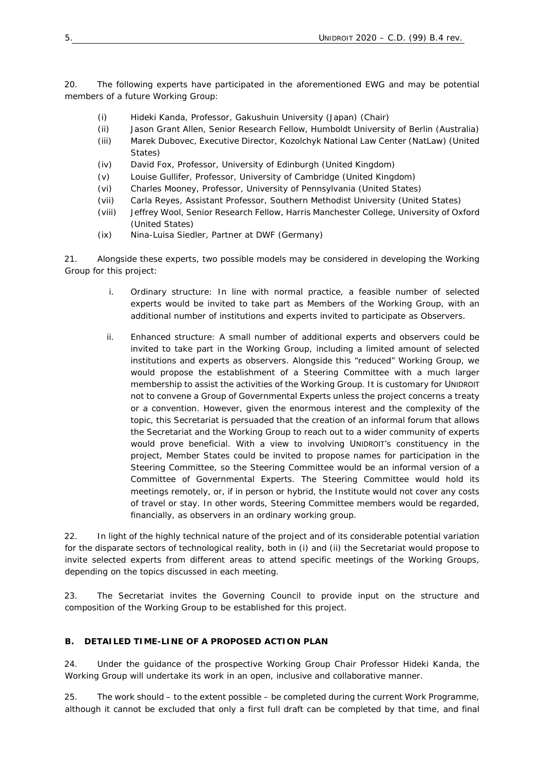20. The following experts have participated in the aforementioned EWG and may be potential members of a future Working Group:

- (i) Hideki Kanda, Professor, Gakushuin University (Japan) (Chair)
- (ii) Jason Grant Allen, Senior Research Fellow, Humboldt University of Berlin (Australia)
- (iii) Marek Dubovec, Executive Director, Kozolchyk National Law Center (NatLaw) (United States)
- (iv) David Fox, Professor, University of Edinburgh (United Kingdom)
- (v) Louise Gullifer, Professor, University of Cambridge (United Kingdom)
- (vi) Charles Mooney, Professor, University of Pennsylvania (United States)
- (vii) Carla Reyes, Assistant Professor, Southern Methodist University (United States)
- (viii) Jeffrey Wool, Senior Research Fellow, Harris Manchester College, University of Oxford (United States)
- (ix) Nina-Luisa Siedler, Partner at DWF (Germany)

21. Alongside these experts, two possible models may be considered in developing the Working Group for this project:

- i. *Ordinary structure:* In line with normal practice, a feasible number of selected experts would be invited to take part as Members of the Working Group, with an additional number of institutions and experts invited to participate as Observers.
- ii. *Enhanced structure:* A small number of additional experts and observers could be invited to take part in the Working Group, including a limited amount of selected institutions and experts as observers. Alongside this "reduced" Working Group, we would propose the establishment of a Steering Committee with a much larger membership to assist the activities of the Working Group. It is customary for UNIDROIT not to convene a Group of Governmental Experts unless the project concerns a treaty or a convention. However, given the enormous interest and the complexity of the topic, this Secretariat is persuaded that the creation of an informal forum that allows the Secretariat and the Working Group to reach out to a wider community of experts would prove beneficial. With a view to involving UNIDROIT's constituency in the project, Member States could be invited to propose names for participation in the Steering Committee, so the Steering Committee would be an informal version of a Committee of Governmental Experts. The Steering Committee would hold its meetings remotely, or, if in person or hybrid, the Institute would not cover any costs of travel or stay. In other words, Steering Committee members would be regarded, financially, as observers in an ordinary working group.

22. In light of the highly technical nature of the project and of its considerable potential variation for the disparate sectors of technological reality, both in (i) and (ii) the Secretariat would propose to invite selected experts from different areas to attend specific meetings of the Working Groups, depending on the topics discussed in each meeting.

23. *The Secretariat invites the Governing Council to provide input on the structure and composition of the Working Group to be established for this project.* 

#### **B. DETAILED TIME-LINE OF A PROPOSED ACTION PLAN**

24. Under the guidance of the prospective Working Group Chair Professor Hideki Kanda, the Working Group will undertake its work in an open, inclusive and collaborative manner.

25. The work should – to the extent possible – be completed during the current Work Programme, although it cannot be excluded that only a first full draft can be completed by that time, and final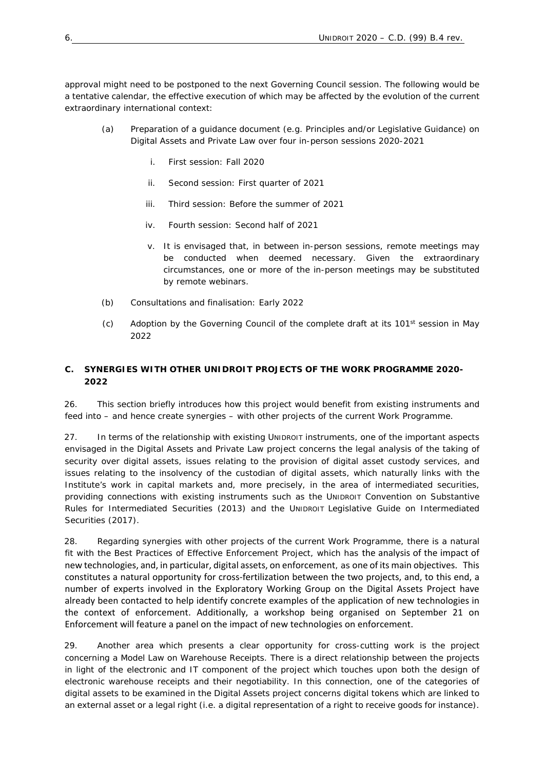approval might need to be postponed to the next Governing Council session. The following would be a tentative calendar, the effective execution of which may be affected by the evolution of the current extraordinary international context:

- (a) Preparation of a guidance document (e.g. Principles and/or Legislative Guidance) on Digital Assets and Private Law over four in-person sessions 2020-2021
	- i. First session: Fall 2020
	- ii. Second session: First quarter of 2021
	- iii. Third session: Before the summer of 2021
	- iv. Fourth session: Second half of 2021
	- v. It is envisaged that, in between in-person sessions, remote meetings may be conducted when deemed necessary. Given the extraordinary circumstances, one or more of the in-person meetings may be substituted by remote webinars.
- (b) Consultations and finalisation: Early 2022
- (c) Adoption by the Governing Council of the complete draft at its  $101<sup>st</sup>$  session in May 2022

## **C. SYNERGIES WITH OTHER UNIDROIT PROJECTS OF THE WORK PROGRAMME 2020- 2022**

26. This section briefly introduces how this project would benefit from existing instruments and feed into – and hence create synergies – with other projects of the current Work Programme.

27. In terms of the relationship with existing UNIDROIT instruments, one of the important aspects envisaged in the Digital Assets and Private Law project concerns the legal analysis of the taking of security over digital assets, issues relating to the provision of digital asset custody services, and issues relating to the insolvency of the custodian of digital assets, which naturally links with the Institute's work in capital markets and, more precisely, in the area of intermediated securities, providing connections with existing instruments such as the UNIDROIT Convention on Substantive Rules for Intermediated Securities (2013) and the UNIDROIT Legislative Guide on Intermediated Securities (2017).

28. Regarding synergies with other projects of the current Work Programme, there is a natural fit with the Best Practices of Effective Enforcement Project, which has the analysis of the impact of new technologies, and, in particular, digital assets, on enforcement, as one of its main objectives. This constitutes a natural opportunity for cross‐fertilization between the two projects, and, to this end, a number of experts involved in the Exploratory Working Group on the Digital Assets Project have already been contacted to help identify concrete examples of the application of new technologies in the context of enforcement. Additionally, a workshop being organised on September 21 on Enforcement will feature a panel on the impact of new technologies on enforcement.

29. Another area which presents a clear opportunity for cross-cutting work is the project concerning a Model Law on Warehouse Receipts. There is a direct relationship between the projects in light of the electronic and IT component of the project which touches upon both the design of electronic warehouse receipts and their negotiability. In this connection, one of the categories of digital assets to be examined in the Digital Assets project concerns digital tokens which are linked to an external asset or a legal right (i.e. a digital representation of a right to receive goods for instance).